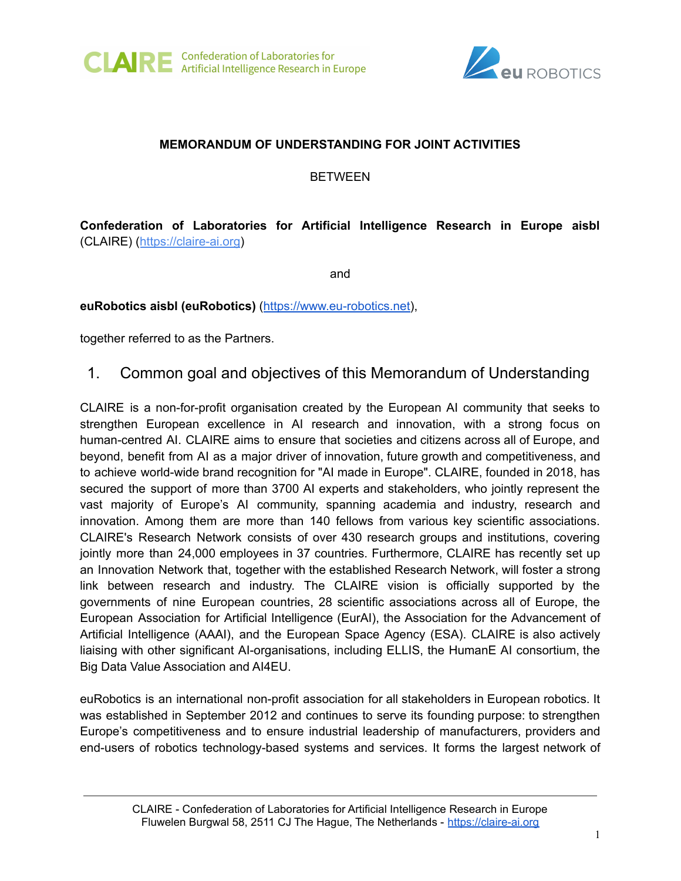



#### **MEMORANDUM OF UNDERSTANDING FOR JOINT ACTIVITIES**

BETWEEN

# **Confederation of Laboratories for Artificial Intelligence Research in Europe aisbl** (CLAIRE) ([https://claire-ai.org](https://claire-ai.org/))

and

**euRobotics aisbl (euRobotics)** ([https://www.eu-robotics.net\)](https://www.eu-robotics.net),

together referred to as the Partners.

1. Common goal and objectives of this Memorandum of Understanding

CLAIRE is a non-for-profit organisation created by the European AI community that seeks to strengthen European excellence in AI research and innovation, with a strong focus on human-centred AI. CLAIRE aims to ensure that societies and citizens across all of Europe, and beyond, benefit from AI as a major driver of innovation, future growth and competitiveness, and to achieve world-wide brand recognition for "AI made in Europe". CLAIRE, founded in 2018, has secured the support of more than 3700 AI experts and stakeholders, who jointly represent the vast majority of Europe's AI community, spanning academia and industry, research and innovation. Among them are more than 140 fellows from various key scientific associations. CLAIRE's Research Network consists of over 430 research groups and institutions, covering jointly more than 24,000 employees in 37 countries. Furthermore, CLAIRE has recently set up an Innovation Network that, together with the established Research Network, will foster a strong link between research and industry. The CLAIRE vision is officially supported by the governments of nine European countries, 28 scientific associations across all of Europe, the European Association for Artificial Intelligence (EurAI), the Association for the Advancement of Artificial Intelligence (AAAI), and the European Space Agency (ESA). CLAIRE is also actively liaising with other significant AI-organisations, including ELLIS, the HumanE AI consortium, the Big Data Value Association and AI4EU.

euRobotics is an international non-profit association for all stakeholders in European robotics. It was established in September 2012 and continues to serve its founding purpose: to strengthen Europe's competitiveness and to ensure industrial leadership of manufacturers, providers and end-users of robotics technology-based systems and services. It forms the largest network of

CLAIRE - Confederation of Laboratories for Artificial Intelligence Research in Europe Fluwelen Burgwal 58, 2511 CJ The Hague, The Netherlands - <https://claire-ai.org>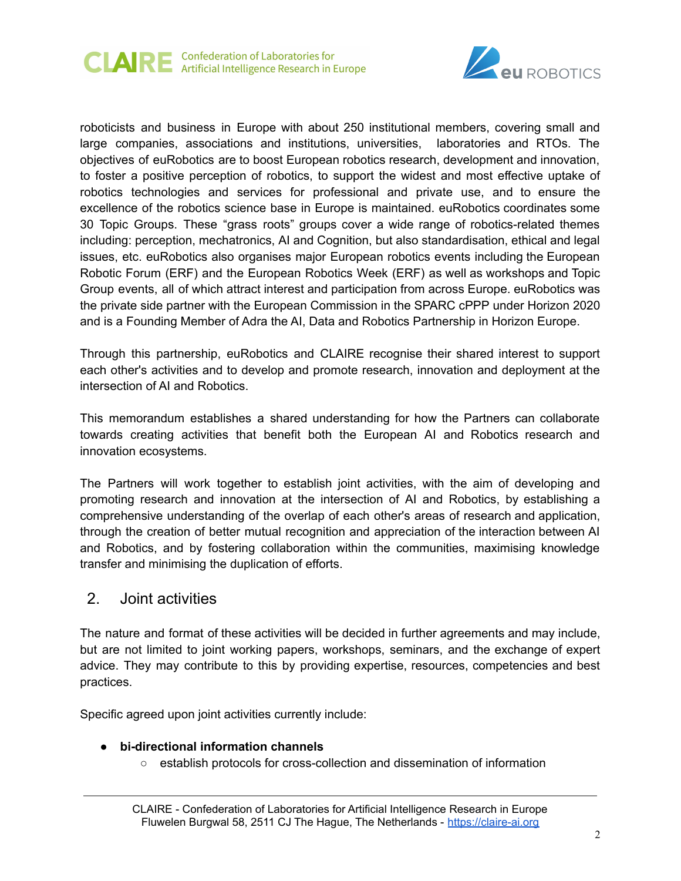



roboticists and business in Europe with about 250 institutional members, covering small and large companies, associations and institutions, universities, laboratories and RTOs. The objectives of euRobotics are to boost European robotics research, development and innovation, to foster a positive perception of robotics, to support the widest and most effective uptake of robotics technologies and services for professional and private use, and to ensure the excellence of the robotics science base in Europe is maintained. euRobotics coordinates some 30 Topic Groups. These "grass roots" groups cover a wide range of robotics-related themes including: perception, mechatronics, AI and Cognition, but also standardisation, ethical and legal issues, etc. euRobotics also organises major European robotics events including the European Robotic Forum (ERF) and the European Robotics Week (ERF) as well as workshops and Topic Group events, all of which attract interest and participation from across Europe. euRobotics was the private side partner with the European Commission in the SPARC cPPP under Horizon 2020 and is a Founding Member of Adra the AI, Data and Robotics Partnership in Horizon Europe.

Through this partnership, euRobotics and CLAIRE recognise their shared interest to support each other's activities and to develop and promote research, innovation and deployment at the intersection of AI and Robotics.

This memorandum establishes a shared understanding for how the Partners can collaborate towards creating activities that benefit both the European AI and Robotics research and innovation ecosystems.

The Partners will work together to establish joint activities, with the aim of developing and promoting research and innovation at the intersection of AI and Robotics, by establishing a comprehensive understanding of the overlap of each other's areas of research and application, through the creation of better mutual recognition and appreciation of the interaction between AI and Robotics, and by fostering collaboration within the communities, maximising knowledge transfer and minimising the duplication of efforts.

# 2. Joint activities

The nature and format of these activities will be decided in further agreements and may include, but are not limited to joint working papers, workshops, seminars, and the exchange of expert advice. They may contribute to this by providing expertise, resources, competencies and best practices.

Specific agreed upon joint activities currently include:

# ● **bi-directional information channels**

○ establish protocols for cross-collection and dissemination of information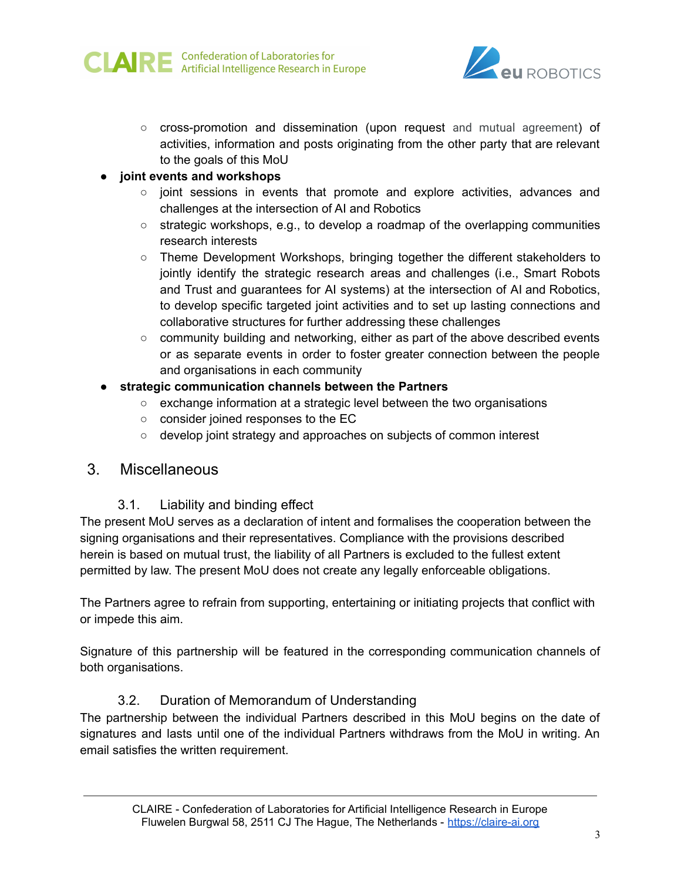



○ cross-promotion and dissemination (upon request and mutual agreement) of activities, information and posts originating from the other party that are relevant to the goals of this MoU

#### ● **joint events and workshops**

- joint sessions in events that promote and explore activities, advances and challenges at the intersection of AI and Robotics
- strategic workshops, e.g., to develop a roadmap of the overlapping communities research interests
- Theme Development Workshops, bringing together the different stakeholders to jointly identify the strategic research areas and challenges (i.e., Smart Robots and Trust and guarantees for AI systems) at the intersection of AI and Robotics, to develop specific targeted joint activities and to set up lasting connections and collaborative structures for further addressing these challenges
- $\circ$  community building and networking, either as part of the above described events or as separate events in order to foster greater connection between the people and organisations in each community
- **strategic communication channels between the Partners**
	- exchange information at a strategic level between the two organisations
	- consider joined responses to the EC
	- develop joint strategy and approaches on subjects of common interest

# 3. Miscellaneous

# 3.1. Liability and binding effect

The present MoU serves as a declaration of intent and formalises the cooperation between the signing organisations and their representatives. Compliance with the provisions described herein is based on mutual trust, the liability of all Partners is excluded to the fullest extent permitted by law. The present MoU does not create any legally enforceable obligations.

The Partners agree to refrain from supporting, entertaining or initiating projects that conflict with or impede this aim.

Signature of this partnership will be featured in the corresponding communication channels of both organisations.

# 3.2. Duration of Memorandum of Understanding

The partnership between the individual Partners described in this MoU begins on the date of signatures and lasts until one of the individual Partners withdraws from the MoU in writing. An email satisfies the written requirement.